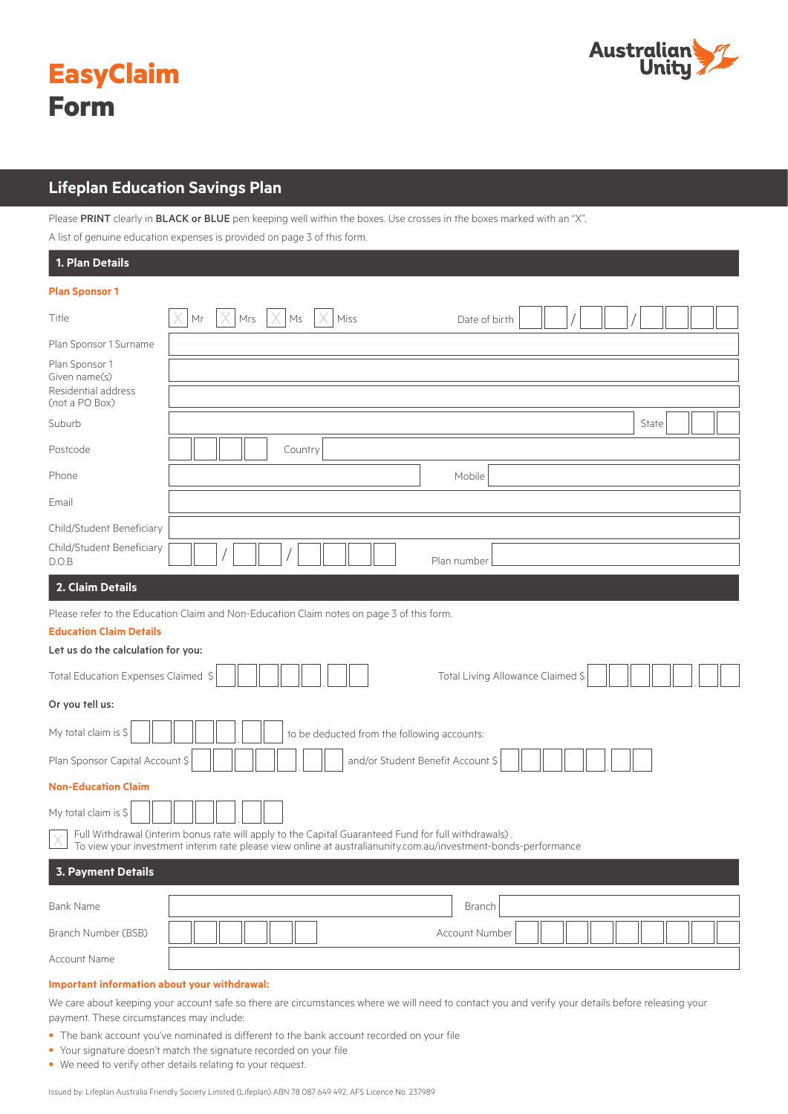



# **Lifeplan Education Savings Plan**

Please PRINT clearly in BLACK or BLUE pen keeping well within the boxes. Use crosses in the boxes marked with an "X".

A list of genuine education expenses is provided on page 3 of this form.

| 1. Plan Details                                                                                             |                                                                                                                                                                                                                        |  |  |  |  |  |  |
|-------------------------------------------------------------------------------------------------------------|------------------------------------------------------------------------------------------------------------------------------------------------------------------------------------------------------------------------|--|--|--|--|--|--|
| <b>Plan Sponsor 1</b>                                                                                       |                                                                                                                                                                                                                        |  |  |  |  |  |  |
| Title                                                                                                       | $Mrs$ $\times$ Ms<br>$\times$<br>$\mathsf{Mr}$<br>Miss<br>Date of birth                                                                                                                                                |  |  |  |  |  |  |
| Plan Sponsor 1 Surname                                                                                      |                                                                                                                                                                                                                        |  |  |  |  |  |  |
| Plan Sponsor 1<br>Given name(s)<br>Residential address<br>(not a PO Box)                                    |                                                                                                                                                                                                                        |  |  |  |  |  |  |
| Suburb                                                                                                      | State                                                                                                                                                                                                                  |  |  |  |  |  |  |
| Postcode                                                                                                    | Country                                                                                                                                                                                                                |  |  |  |  |  |  |
| Phone                                                                                                       | Mobile                                                                                                                                                                                                                 |  |  |  |  |  |  |
| Email                                                                                                       |                                                                                                                                                                                                                        |  |  |  |  |  |  |
| Child/Student Beneficiary<br>Child/Student Beneficiary<br>D.O.B                                             | Plan number                                                                                                                                                                                                            |  |  |  |  |  |  |
| 2. Claim Details                                                                                            |                                                                                                                                                                                                                        |  |  |  |  |  |  |
| <b>Education Claim Details</b><br>Let us do the calculation for you:<br>Total Education Expenses Claimed \$ | Please refer to the Education Claim and Non-Education Claim notes on page 3 of this form.<br>Total Living Allowance Claimed \$                                                                                         |  |  |  |  |  |  |
|                                                                                                             | Or you tell us:                                                                                                                                                                                                        |  |  |  |  |  |  |
| My total claim is \$<br>to be deducted from the following accounts:                                         |                                                                                                                                                                                                                        |  |  |  |  |  |  |
| and/or Student Benefit Account \$<br>Plan Sponsor Capital Account \$                                        |                                                                                                                                                                                                                        |  |  |  |  |  |  |
| <b>Non-Education Claim</b>                                                                                  |                                                                                                                                                                                                                        |  |  |  |  |  |  |
| My total claim is \$                                                                                        |                                                                                                                                                                                                                        |  |  |  |  |  |  |
|                                                                                                             | Full Withdrawal (interim bonus rate will apply to the Capital Guaranteed Fund for full withdrawals).<br>To view your investment interim rate please view online at australianunity.com.au/investment-bonds-performance |  |  |  |  |  |  |
| <b>3. Payment Details</b>                                                                                   |                                                                                                                                                                                                                        |  |  |  |  |  |  |
| <b>Bank Name</b>                                                                                            | Branch                                                                                                                                                                                                                 |  |  |  |  |  |  |
| Branch Number (BSB)                                                                                         | Account Number                                                                                                                                                                                                         |  |  |  |  |  |  |
| Account Name                                                                                                |                                                                                                                                                                                                                        |  |  |  |  |  |  |
|                                                                                                             |                                                                                                                                                                                                                        |  |  |  |  |  |  |

# **Important information about your withdrawal:**

We care about keeping your account safe so there are circumstances where we will need to contact you and verify your details before releasing your payment. These circumstances may include:

- The bank account you've nominated is different to the bank account recorded on your file
- Your signature doesn't match the signature recorded on your file
- We need to verify other details relating to your request.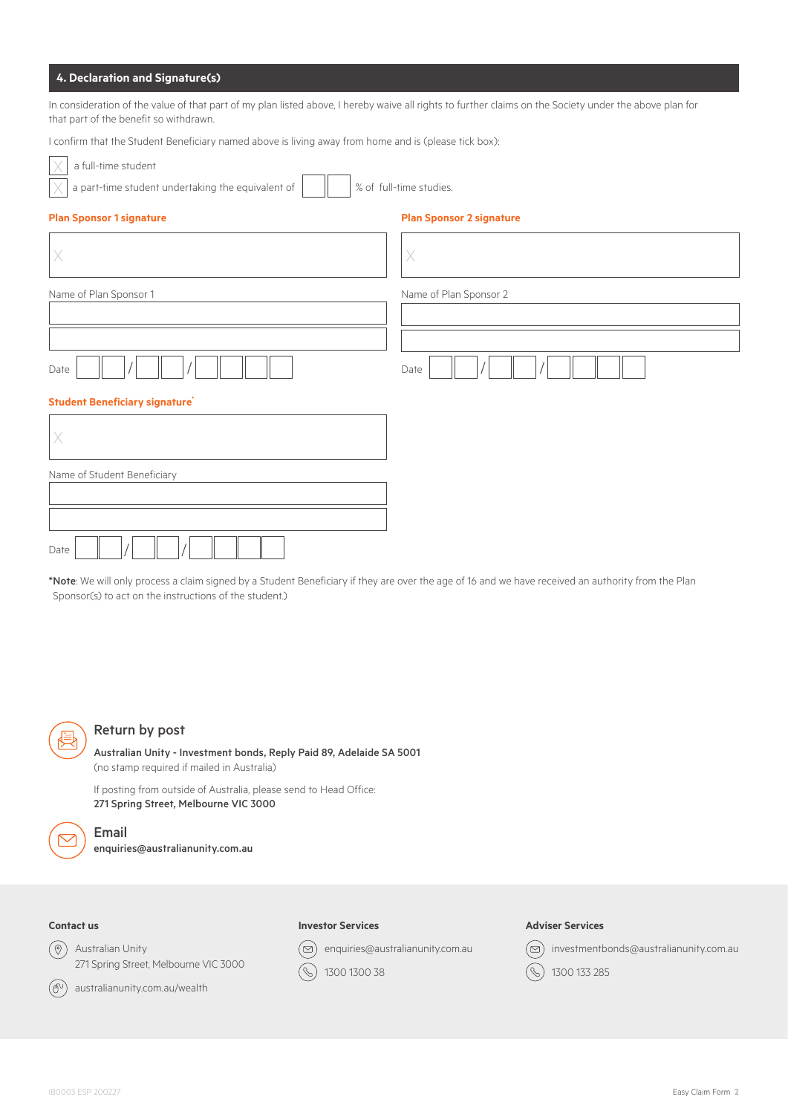# **4. Declaration and Signature(s)**

In consideration of the value of that part of my plan listed above, I hereby waive all rights to further claims on the Society under the above plan for that part of the benefit so withdrawn.

I confirm that the Student Beneficiary named above is living away from home and is (please tick box):

|  | a full-time student |
|--|---------------------|
|  |                     |

| __ |   |            |  |  |  |
|----|---|------------|--|--|--|
|    |   |            |  |  |  |
|    |   |            |  |  |  |
|    | ٠ | <b>A</b> 1 |  |  |  |

 $\times$  a part-time student undertaking the equivalent of  $\boxed{\phantom{\hspace{1em}}\phantom{\hspace{1em}}\phantom{\hspace{1em}}\phantom{\hspace{1em}}\phantom{\hspace{1em}}\,}$   $\times$  of full-time studies.

 $\overline{\phantom{a}}$ 

|  |  |  |  |  |  |  | Plan Sponsor 1 signatur |
|--|--|--|--|--|--|--|-------------------------|
|--|--|--|--|--|--|--|-------------------------|

#### **Plan Sponsor 1 signature Plan Sponsor 2 signature**

|                                      | Χ                      |
|--------------------------------------|------------------------|
| Name of Plan Sponsor 1               | Name of Plan Sponsor 2 |
|                                      |                        |
| Date                                 | Date                   |
| <b>Student Beneficiary signature</b> |                        |
|                                      |                        |
|                                      |                        |

| Name of Student Beneficiary |  |
|-----------------------------|--|
|                             |  |
|                             |  |
|                             |  |
| Date                        |  |

\*Note: We will only process a claim signed by a Student Beneficiary if they are over the age of 16 and we have received an authority from the Plan Sponsor(s) to act on the instructions of the student.)



### Return by post

Australian Unity - Investment bonds, Reply Paid 89, Adelaide SA 5001 (no stamp required if mailed in Australia)

If posting from outside of Australia, please send to Head Office: 271 Spring Street, Melbourne VIC 3000



Email enquiries@australianunity.com.au

# **Contact us**

 $\circledcirc$ Australian Unity 271 Spring Street, Melbourne VIC 3000

# **Investor Services**

enquiries@australianunity.com.au [⊠]

 $\bigcirc$ 1300 1300 38

#### **Adviser Services**



australianunity.com.au/wealth  $(\oplus)$